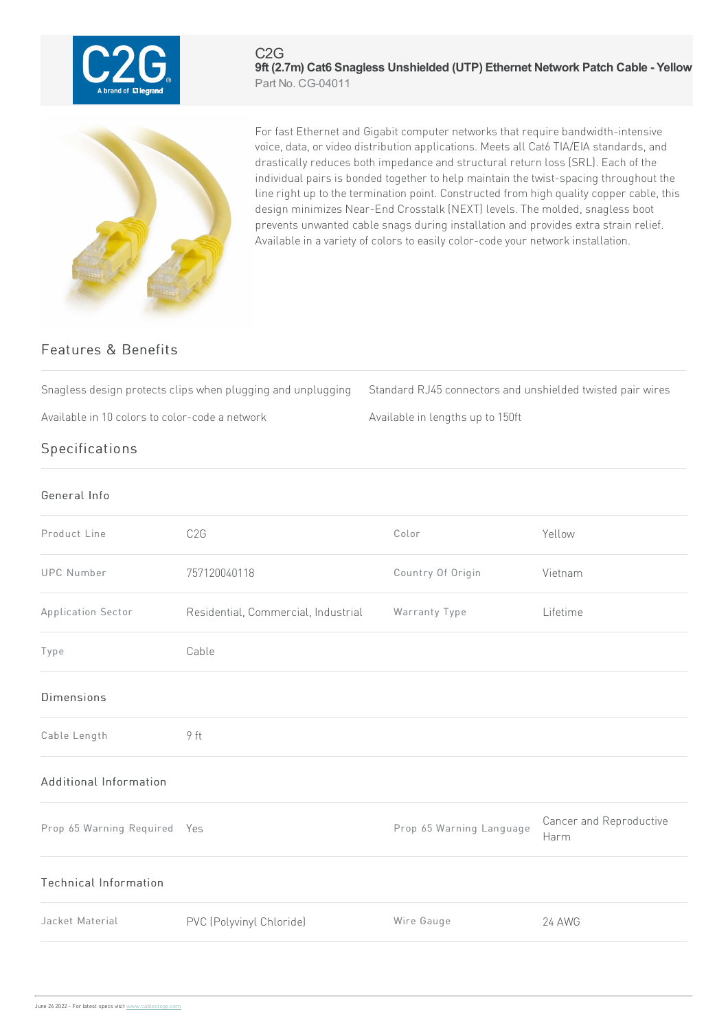

## C2G **9ft (2.7m) Cat6 Snagless Unshielded (UTP) Ethernet Network Patch Cable - Yellow** Part No. CG-04011



For fast Ethernet and Gigabit computer networks that require bandwidth-intensive voice, data, or video distribution applications. Meets all Cat6 TIA/EIA standards, and drastically reduces both impedance and structural return loss (SRL). Each of the individual pairs is bonded together to help maintain the twist-spacing throughout the line right up to the termination point. Constructed from high quality copper cable, this design minimizes Near-End Crosstalk (NEXT) levels. The molded, snagless boot prevents unwanted cable snags during installation and provides extra strain relief. Available in a variety of colors to easily color-code your network installation.

## Features & Benefits

Snagless design protects clips when plugging and unplugging Standard RJ45 connectors and unshielded twisted pair wires

Available in 10 colors to color-code a network Available in lengths up to 150ft

## **Specifications**

| General Info                 |                                     |                          |                                 |
|------------------------------|-------------------------------------|--------------------------|---------------------------------|
| Product Line                 | C <sub>2</sub> G                    | Color                    | Yellow                          |
| <b>UPC Number</b>            | 757120040118                        | Country Of Origin        | Vietnam                         |
| Application Sector           | Residential, Commercial, Industrial | Warranty Type            | Lifetime                        |
| Type                         | Cable                               |                          |                                 |
| <b>Dimensions</b>            |                                     |                          |                                 |
| Cable Length                 | 9 ft                                |                          |                                 |
| Additional Information       |                                     |                          |                                 |
| Prop 65 Warning Required Yes |                                     | Prop 65 Warning Language | Cancer and Reproductive<br>Harm |
| <b>Technical Information</b> |                                     |                          |                                 |
| Jacket Material              | PVC (Polyvinyl Chloride)            | Wire Gauge               | 24 AWG                          |
|                              |                                     |                          |                                 |